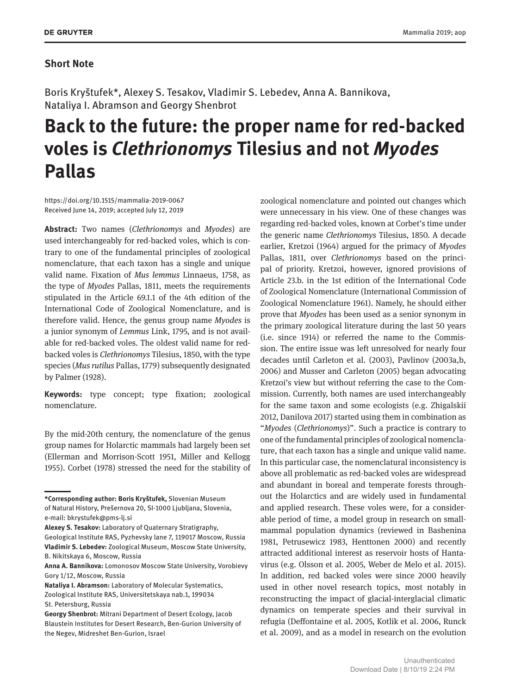## **Short Note**

Boris Kryštufek\*, Alexey S. Tesakov, Vladimir S. Lebedev, Anna A. Bannikova, Nataliya I. Abramson and Georgy Shenbrot

## **Back to the future: the proper name for red-backed voles is** *Clethrionomys* **Tilesius and not** *Myodes* **Pallas**

<https://doi.org/10.1515/mammalia-2019-0067> Received June 14, 2019; accepted July 12, 2019

**Abstract:** Two names (*Clethrionomys* and *Myodes*) are used interchangeably for red-backed voles, which is contrary to one of the fundamental principles of zoological nomenclature, that each taxon has a single and unique valid name. Fixation of *Mus lemmus* Linnaeus, 1758, as the type of *Myodes* Pallas, 1811, meets the requirements stipulated in the Article 69.1.1 of the 4th edition of the International Code of Zoological Nomenclature, and is therefore valid. Hence, the genus group name *Myodes* is a junior synonym of *Lemmus* Link, 1795, and is not available for red-backed voles. The oldest valid name for redbacked voles is *Clethrionomys* Tilesius, 1850, with the type species (*Mus rutilus* Pallas, 1779) subsequently designated by Palmer (1928).

**Keywords:** type concept; type fixation; zoological nomenclature.

By the mid-20th century, the nomenclature of the genus group names for Holarctic mammals had largely been set (Ellerman and Morrison-Scott 1951, Miller and Kellogg 1955). Corbet (1978) stressed the need for the stability of

Geological Institute RAS, Pyzhevsky lane 7, 119017 Moscow, Russia **Vladimir S. Lebedev:** Zoological Museum, Moscow State University, B. Nikitskaya 6, Moscow, Russia

zoological nomenclature and pointed out changes which were unnecessary in his view. One of these changes was regarding red-backed voles, known at Corbet's time under the generic name *Clethrionomys* Tilesius, 1850. A decade earlier, Kretzoi (1964) argued for the primacy of *Myodes* Pallas, 1811, over *Clethrionomys* based on the principal of priority. Kretzoi, however, ignored provisions of Article 23.b. in the 1st edition of the International Code of Zoological Nomenclature (International Commission of Zoological Nomenclature 1961). Namely, he should either prove that *Myodes* has been used as a senior synonym in the primary zoological literature during the last 50 years (i.e. since 1914) or referred the name to the Commission. The entire issue was left unresolved for nearly four decades until Carleton et al. (2003), Pavlinov (2003a,b, 2006) and Musser and Carleton (2005) began advocating Kretzoi's view but without referring the case to the Commission. Currently, both names are used interchangeably for the same taxon and some ecologists (e.g. Zhigalskii 2012, Danilova 2017) started using them in combination as "*Myodes* (*Clethrionomys*)". Such a practice is contrary to one of the fundamental principles of zoological nomenclature, that each taxon has a single and unique valid name. In this particular case, the nomenclatural inconsistency is above all problematic as red-backed voles are widespread and abundant in boreal and temperate forests throughout the Holarctics and are widely used in fundamental and applied research. These voles were, for a considerable period of time, a model group in research on smallmammal population dynamics (reviewed in Bashenina 1981, Petrusewicz 1983, Henttonen 2000) and recently attracted additional interest as reservoir hosts of Hantavirus (e.g. Olsson et al. 2005, Weber de Melo et al. 2015). In addition, red backed voles were since 2000 heavily used in other novel research topics, most notably in reconstructing the impact of glacial-interglacial climatic dynamics on temperate species and their survival in refugia (Deffontaine et al. 2005, Kotlik et al. 2006, Runck et al. 2009), and as a model in research on the evolution

**<sup>\*</sup>Corresponding author: Boris Kryštufek,** Slovenian Museum of Natural History, Prešernova 20, SI-1000 Ljubljana, Slovenia, e-mail: [bkrystufek@pms-lj.si](mailto:bkrystufek@pms-lj.si)

**Alexey S. Tesakov:** Laboratory of Quaternary Stratigraphy,

**Anna A. Bannikova:** Lomonosov Moscow State University, Vorobievy Gory 1/12, Moscow, Russia

**Nataliya I. Abramson:** Laboratory of Molecular Systematics, Zoological Institute RAS, Universitetskaya nab.1, 199034 St. Petersburg, Russia

**Georgy Shenbrot:** Mitrani Department of Desert Ecology, Jacob Blaustein Institutes for Desert Research, Ben-Gurion University of the Negev, Midreshet Ben-Gurion, Israel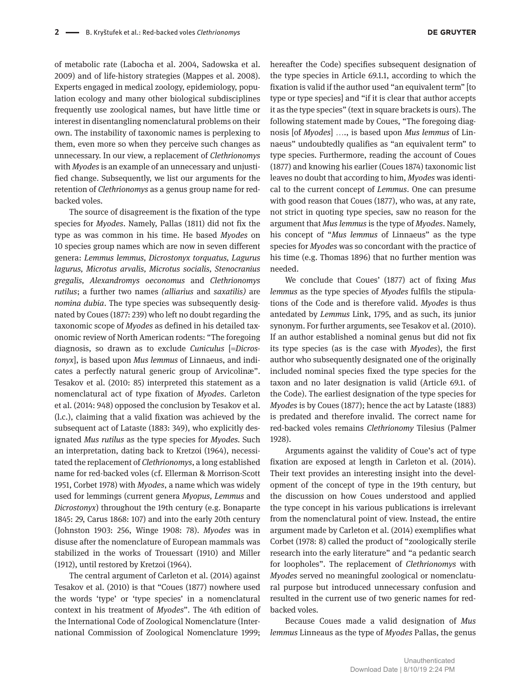of metabolic rate (Labocha et al. 2004, Sadowska et al. 2009) and of life-history strategies (Mappes et al. 2008). Experts engaged in medical zoology, epidemiology, population ecology and many other biological subdisciplines frequently use zoological names, but have little time or interest in disentangling nomenclatural problems on their own. The instability of taxonomic names is perplexing to them, even more so when they perceive such changes as unnecessary. In our view, a replacement of *Clethrionomys* with *Myodes* is an example of an unnecessary and unjustified change. Subsequently, we list our arguments for the retention of *Clethrionomys* as a genus group name for redbacked voles.

The source of disagreement is the fixation of the type species for *Myodes*. Namely, Pallas (1811) did not fix the type as was common in his time. He based *Myodes* on 10 species group names which are now in seven different genera: *Lemmus lemmus, Dicrostonyx torquatus, Lagurus lagurus, Microtus arvalis, Microtus socialis, Stenocranius gregalis, Alexandromys oeconomus* and *Clethrionomys rutilus*; a further two names *(alliarius* and *saxatilis)* are *nomina dubia*. The type species was subsequently designated by Coues (1877: 239) who left no doubt regarding the taxonomic scope of *Myodes* as defined in his detailed taxonomic review of North American rodents: "The foregoing diagnosis, so drawn as to exclude *Cuniculus* [=*Dicrostonyx*], is based upon *Mus lemmus* of Linnaeus, and indicates a perfectly natural generic group of Arvicolinæ". Tesakov et al. (2010: 85) interpreted this statement as a nomenclatural act of type fixation of *Myodes*. Carleton et al. (2014: 948) opposed the conclusion by Tesakov et al. (l.c.), claiming that a valid fixation was achieved by the subsequent act of Lataste (1883: 349), who explicitly designated *Mus rutilus* as the type species for *Myodes.* Such an interpretation, dating back to Kretzoi (1964), necessitated the replacement of *Clethrionomys*, a long established name for red-backed voles (cf. Ellerman & Morrison-Scott 1951, Corbet 1978) with *Myodes*, a name which was widely used for lemmings (current genera *Myopus, Lemmus* and *Dicrostonyx*) throughout the 19th century (e.g. Bonaparte 1845: 29, Carus 1868: 107) and into the early 20th century (Johnston 1903: 256, Winge 1908: 78). *Myodes* was in disuse after the nomenclature of European mammals was stabilized in the works of Trouessart (1910) and Miller (1912), until restored by Kretzoi (1964).

The central argument of Carleton et al. (2014) against Tesakov et al. (2010) is that "Coues (1877) nowhere used the words 'type' or 'type species' in a nomenclatural context in his treatment of *Myodes*". The 4th edition of the International Code of Zoological Nomenclature (International Commission of Zoological Nomenclature 1999; hereafter the Code) specifies subsequent designation of the type species in Article 69.1.1, according to which the fixation is valid if the author used "an equivalent term" [to type or type species] and "if it is clear that author accepts it as the type species" (text in square brackets is ours). The following statement made by Coues, "The foregoing diagnosis [of *Myodes*] …., is based upon *Mus lemmus* of Linnaeus" undoubtedly qualifies as "an equivalent term" to type species. Furthermore, reading the account of Coues (1877) and knowing his earlier (Coues 1874) taxonomic list leaves no doubt that according to him, *Myodes* was identical to the current concept of *Lemmus*. One can presume with good reason that Coues (1877), who was, at any rate, not strict in quoting type species, saw no reason for the argument that *Mus lemmus* is the type of *Myodes*. Namely, his concept of "*Mus lemmus* of Linnaeus" as the type species for *Myodes* was so concordant with the practice of his time (e.g. Thomas 1896) that no further mention was needed.

We conclude that Coues' (1877) act of fixing *Mus lemmus* as the type species of *Myodes* fulfils the stipulations of the Code and is therefore valid. *Myodes* is thus antedated by *Lemmus* Link, 1795, and as such, its junior synonym. For further arguments, see Tesakov et al. (2010). If an author established a nominal genus but did not fix its type species (as is the case with *Myodes*), the first author who subsequently designated one of the originally included nominal species fixed the type species for the taxon and no later designation is valid (Article 69.1. of the Code). The earliest designation of the type species for *Myodes* is by Coues (1877); hence the act by Lataste (1883) is predated and therefore invalid. The correct name for red-backed voles remains *Clethrionomy* Tilesius (Palmer 1928).

Arguments against the validity of Coue's act of type fixation are exposed at length in Carleton et al. (2014). Their text provides an interesting insight into the development of the concept of type in the 19th century, but the discussion on how Coues understood and applied the type concept in his various publications is irrelevant from the nomenclatural point of view. Instead, the entire argument made by Carleton et al. (2014) exemplifies what Corbet (1978: 8) called the product of "zoologically sterile research into the early literature" and "a pedantic search for loopholes". The replacement of *Clethrionomys* with *Myodes* served no meaningful zoological or nomenclatural purpose but introduced unnecessary confusion and resulted in the current use of two generic names for redbacked voles.

Because Coues made a valid designation of *Mus lemmus* Linneaus as the type of *Myodes* Pallas, the genus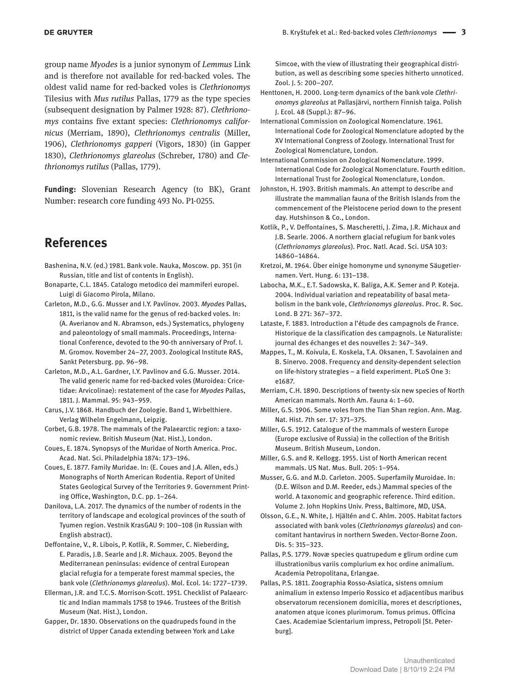group name *Myodes* is a junior synonym of *Lemmus* Link and is therefore not available for red-backed voles. The oldest valid name for red-backed voles is *Clethrionomys* Tilesius with *Mus rutilus* Pallas, 1779 as the type species (subsequent designation by Palmer 1928: 87). *Clethrionomys* contains five extant species: *Clethrionomys californicus* (Merriam, 1890), *Clethrionomys centralis* (Miller, 1906), *Clethrionomys gapperi* (Vigors, 1830) (in Gapper 1830), *Clethrionomys glareolus* (Schreber, 1780) and *Clethrionomys rutilus* (Pallas, 1779).

**Funding:** Slovenian Research Agency (to BK), Grant Number: research core funding 493 No. P1-0255.

## **References**

- Bashenina, N.V. (ed.) 1981. Bank vole. Nauka, Moscow. pp. 351 (in Russian, title and list of contents in English).
- Bonaparte, C.L. 1845. Catalogo metodico dei mammiferi europei. Luigi di Giacomo Pirola, Milano.
- Carleton, M.D., G.G. Musser and I.Y. Pavlinov. 2003. *Myodes* Pallas, 1811, is the valid name for the genus of red-backed voles. In: (A. Averianov and N. Abramson, eds.) Systematics, phylogeny and paleontology of small mammals. Proceedings, International Conference, devoted to the 90-th anniversary of Prof. I. M. Gromov. November 24–27, 2003. Zoological Institute RAS, Sankt Petersburg. pp. 96–98.
- Carleton, M.D., A.L. Gardner, I.Y. Pavlinov and G.G. Musser. 2014. The valid generic name for red-backed voles (Muroidea: Cricetidae: Arvicolinae): restatement of the case for *Myodes* Pallas, 1811. J. Mammal. 95: 943–959.
- Carus, J.V. 1868. Handbuch der Zoologie. Band 1, Wirbelthiere. Verlag Wilhelm Engelmann, Leipzig.
- Corbet, G.B. 1978. The mammals of the Palaearctic region: a taxonomic review. British Museum (Nat. Hist.), London.
- Coues, E. 1874. Synopsys of the Muridae of North America. Proc. Acad. Nat. Sci. Philadelphia 1874: 173–196.
- Coues, E. 1877. Family Muridae. In: (E. Coues and J.A. Allen, eds.) Monographs of North American Rodentia. Report of United States Geological Survey of the Territories 9. Government Printing Office, Washington, D.C. pp. 1–264.
- Danilova, L.A. 2017. The dynamics of the number of rodents in the territory of landscape and ecological provinces of the south of Tyumen region. Vestnik KrasGAU 9: 100–108 (in Russian with English abstract).
- Deffontaine, V., R. Libois, P. Kotlik, R. Sommer, C. Nieberding, E. Paradis, J.B. Searle and J.R. Michaux. 2005. Beyond the Mediterranean peninsulas: evidence of central European glacial refugia for a temperate forest mammal species, the bank vole (*Clethrionomys glareolus*). Mol. Ecol. 14: 1727–1739.
- Ellerman, J.R. and T.C.S. Morrison-Scott. 1951. Checklist of Palaearctic and Indian mammals 1758 to 1946. Trustees of the British Museum (Nat. Hist.), London.
- Gapper, Dr. 1830. Observations on the quadrupeds found in the district of Upper Canada extending between York and Lake

Simcoe, with the view of illustrating their geographical distribution, as well as describing some species hitherto unnoticed. Zool. J. 5: 200–207.

- Henttonen, H. 2000. Long-term dynamics of the bank vole *Clethrionomys glareolus* at Pallasjärvi, northern Finnish taiga. Polish J. Ecol. 48 (Suppl.): 87–96.
- International Commission on Zoological Nomenclature. 1961. International Code for Zoological Nomenclature adopted by the XV International Congress of Zoology. International Trust for Zoological Nomenclature, London.
- International Commission on Zoological Nomenclature. 1999. International Code for Zoological Nomenclature. Fourth edition. International Trust for Zoological Nomenclature, London.
- Johnston, H. 1903. British mammals. An attempt to describe and illustrate the mammalian fauna of the British Islands from the commencement of the Pleistocene period down to the present day. Hutshinson & Co., London.
- Kotlik, P., V. Deffontaines, S. Mascheretti, J. Zima, J.R. Michaux and J.B. Searle. 2006. A northern glacial refugium for bank voles (*Clethrionomys glareolus*). Proc. Natl. Acad. Sci. USA 103: 14860–14864.
- Kretzoi, M. 1964. Über einige homonyme und synonyme Säugetiernamen. Vert. Hung. 6: 131–138.
- Labocha, M.K., E.T. Sadowska, K. Baliga, A.K. Semer and P. Koteja. 2004. Individual variation and repeatability of basal metabolism in the bank vole, *Clethrionomys glareolus*. Proc. R. Soc. Lond. B 271: 367–372.
- Lataste, F. 1883. Introduction a l'étude des campagnols de France. Historique de la classification des campagnols. Le Naturaliste: journal des échanges et des nouvelles 2: 347–349.
- Mappes, T., M. Koivula, E. Koskela, T.A. Oksanen, T. Savolainen and B. Sinervo. 2008. Frequency and density-dependent selection on life-history strategies – a field experiment. PLoS One 3: e1687.
- Merriam, C.H. 1890. Descriptions of twenty-six new species of North American mammals. North Am. Fauna 4: 1–60.
- Miller, G.S. 1906. Some voles from the Tian Shan region. Ann. Mag. Nat. Hist. 7th ser. 17: 371–375.
- Miller, G.S. 1912. Catalogue of the mammals of western Europe (Europe exclusive of Russia) in the collection of the British Museum. British Museum, London.
- Miller, G.S. and R. Kellogg. 1955. List of North American recent mammals. US Nat. Mus. Bull. 205: 1–954.
- Musser, G.G. and M.D. Carleton. 2005. Superfamily Muroidae. In: (D.E. Wilson and D.M. Reeder, eds.) Mammal species of the world. A taxonomic and geographic reference. Third edition. Volume 2. John Hopkins Univ. Press, Baltimore, MD, USA.
- Olsson, G.E., N. White, J. Hjältén and C. Ahlm. 2005. Habitat factors associated with bank voles (*Clethrionomys glareolus*) and concomitant hantavirus in northern Sweden. Vector-Borne Zoon. Dis. 5: 315–323.
- Pallas, P.S. 1779. Novæ species quatrupedum e glirum ordine cum illustrationibus variis complurium ex hoc ordine animalium. Academia Petropolitana, Erlangae.
- Pallas, P.S. 1811. Zoographia Rosso-Asiatica, sistens omnium animalium in extenso Imperio Rossico et adjacentibus maribus observatorum recensionem domicilia, mores et descriptiones, anatomen atque icones plurimorum. Tomus primus. Officina Caes. Academiae Scientarium impress, Petropoli [St. Peterburg].